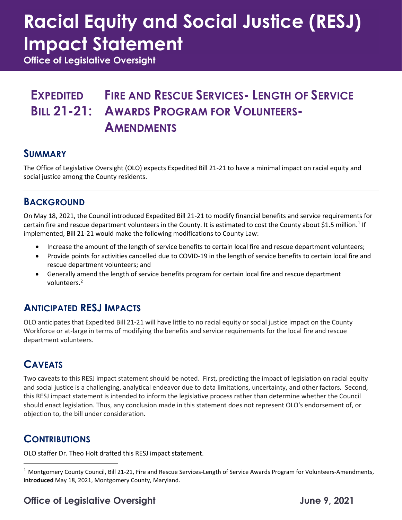# **Racial Equity and Social Justice (RESJ) Impact Statement**

**Office of Legislative Oversight**

# **EXPEDITED FIRE AND RESCUE SERVICES- LENGTH OF SERVICE BILL 21-21: AWARDS PROGRAM FOR VOLUNTEERS-AMENDMENTS**

#### **SUMMARY**

The Office of Legislative Oversight (OLO) expects Expedited Bill 21-21 to have a minimal impact on racial equity and social justice among the County residents.

#### **BACKGROUND**

On May 18, 2021, the Council introduced Expedited Bill 21-21 to modify financial benefits and service requirements for certain fire and rescue department volunteers in the County. It is estimated to cost the County about \$[1](#page-0-0).5 million.<sup>1</sup> If implemented, Bill 21-21 would make the following modifications to County Law:

- Increase the amount of the length of service benefits to certain local fire and rescue department volunteers;
- Provide points for activities cancelled due to COVID-19 in the length of service benefits to certain local fire and rescue department volunteers; and
- Generally amend the length of service benefits program for certain local fire and rescue department volunteers.<sup>[2](#page-0-1)</sup>

## **ANTICIPATED RESJ IMPACTS**

OLO anticipates that Expedited Bill 21-21 will have little to no racial equity or social justice impact on the County Workforce or at-large in terms of modifying the benefits and service requirements for the local fire and rescue department volunteers.

## **CAVEATS**

Two caveats to this RESJ impact statement should be noted. First, predicting the impact of legislation on racial equity and social justice is a challenging, analytical endeavor due to data limitations, uncertainty, and other factors. Second, this RESJ impact statement is intended to inform the legislative process rather than determine whether the Council should enact legislation. Thus, any conclusion made in this statement does not represent OLO's endorsement of, or objection to, the bill under consideration.

#### **CONTRIBUTIONS**

<span id="page-0-0"></span>OLO staffer Dr. Theo Holt drafted this RESJ impact statement.

<span id="page-0-1"></span><sup>&</sup>lt;sup>1</sup> Montgomery County Council, Bill 21-21, Fire and Rescue Services-Length of Service Awards Program for Volunteers-Amendments, **introduced** May 18, 2021, Montgomery County, Maryland.